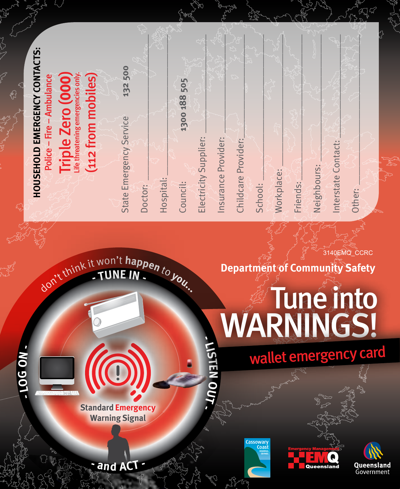